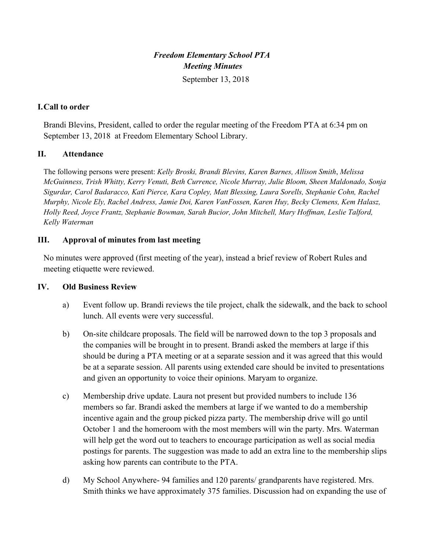# *Freedom Elementary School PTA Meeting Minutes*

September 13, 2018

## **I.Call to order**

Brandi Blevins, President, called to order the regular meeting of the Freedom PTA at 6:34 pm on September 13, 2018 at Freedom Elementary School Library.

## **II. Attendance**

The following persons were present: *Kelly Broski, Brandi Blevins, Karen Barnes, Allison Smith*, *Melissa McGuinness, Trish Whitty, Kerry Venuti, Beth Currence, Nicole Murray, Julie Bloom, Sheen Maldonado, Sonja Sigurdar, Carol Badaracco, Kati Pierce, Kara Copley, Matt Blessing, Laura Sorells, Stephanie Cohn, Rachel Murphy, Nicole Ely, Rachel Andress, Jamie Doi, Karen VanFossen, Karen Huy, Becky Clemens, Kem Halasz, Holly Reed, Joyce Frantz, Stephanie Bowman, Sarah Bucior, John Mitchell, Mary Hoffman, Leslie Talford, Kelly Waterman*

## **III. Approval of minutes from last meeting**

No minutes were approved (first meeting of the year), instead a brief review of Robert Rules and meeting etiquette were reviewed.

## **IV. Old Business Review**

- a) Event follow up. Brandi reviews the tile project, chalk the sidewalk, and the back to school lunch. All events were very successful.
- b) On-site childcare proposals. The field will be narrowed down to the top 3 proposals and the companies will be brought in to present. Brandi asked the members at large if this should be during a PTA meeting or at a separate session and it was agreed that this would be at a separate session. All parents using extended care should be invited to presentations and given an opportunity to voice their opinions. Maryam to organize.
- c) Membership drive update. Laura not present but provided numbers to include 136 members so far. Brandi asked the members at large if we wanted to do a membership incentive again and the group picked pizza party. The membership drive will go until October 1 and the homeroom with the most members will win the party. Mrs. Waterman will help get the word out to teachers to encourage participation as well as social media postings for parents. The suggestion was made to add an extra line to the membership slips asking how parents can contribute to the PTA.
- d) My School Anywhere- 94 families and 120 parents/ grandparents have registered. Mrs. Smith thinks we have approximately 375 families. Discussion had on expanding the use of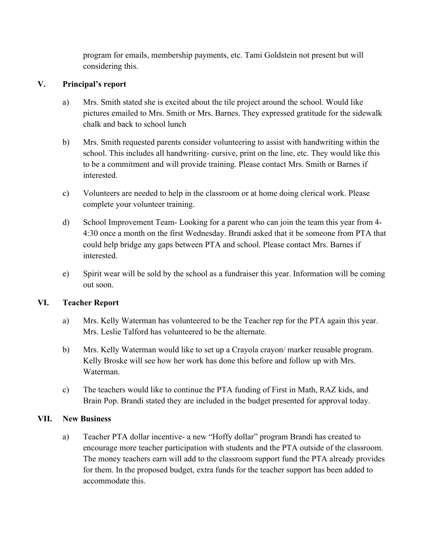program for emails, membership payments, etc. Tami Goldstein not present but will considering this.

## **V. Principal's report**

- a) Mrs. Smith stated she is excited about the tile project around the school. Would like pictures emailed to Mrs. Smith or Mrs. Barnes. They expressed gratitude for the sidewalk chalk and back to school lunch
- b) Mrs. Smith requested parents consider volunteering to assist with handwriting within the school. This includes all handwriting- cursive, print on the line, etc. They would like this to be a commitment and will provide training. Please contact Mrs. Smith or Barnes if interested.
- c) Volunteers are needed to help in the classroom or at home doing clerical work. Please complete your volunteer training.
- d) School Improvement Team- Looking for a parent who can join the team this year from 4- 4:30 once a month on the first Wednesday. Brandi asked that it be someone from PTA that could help bridge any gaps between PTA and school. Please contact Mrs. Barnes if interested.
- e) Spirit wear will be sold by the school as a fundraiser this year. Information will be coming out soon.

## **VI. Teacher Report**

- a) Mrs. Kelly Waterman has volunteered to be the Teacher rep for the PTA again this year. Mrs. Leslie Talford has volunteered to be the alternate.
- b) Mrs. Kelly Waterman would like to set up a Crayola crayon/ marker reusable program. Kelly Broske will see how her work has done this before and follow up with Mrs. Waterman.
- c) The teachers would like to continue the PTA funding of First in Math, RAZ kids, and Brain Pop. Brandi stated they are included in the budget presented for approval today.

## **VII. New Business**

a) Teacher PTA dollar incentive- a new "Hoffy dollar" program Brandi has created to encourage more teacher participation with students and the PTA outside of the classroom. The money teachers earn will add to the classroom support fund the PTA already provides for them. In the proposed budget, extra funds for the teacher support has been added to accommodate this.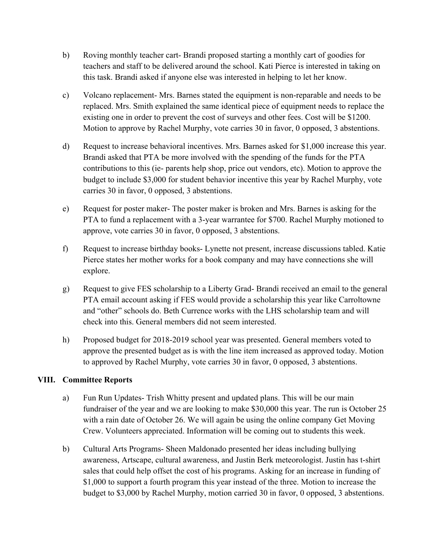- b) Roving monthly teacher cart- Brandi proposed starting a monthly cart of goodies for teachers and staff to be delivered around the school. Kati Pierce is interested in taking on this task. Brandi asked if anyone else was interested in helping to let her know.
- c) Volcano replacement- Mrs. Barnes stated the equipment is non-reparable and needs to be replaced. Mrs. Smith explained the same identical piece of equipment needs to replace the existing one in order to prevent the cost of surveys and other fees. Cost will be \$1200. Motion to approve by Rachel Murphy, vote carries 30 in favor, 0 opposed, 3 abstentions.
- d) Request to increase behavioral incentives. Mrs. Barnes asked for \$1,000 increase this year. Brandi asked that PTA be more involved with the spending of the funds for the PTA contributions to this (ie- parents help shop, price out vendors, etc). Motion to approve the budget to include \$3,000 for student behavior incentive this year by Rachel Murphy, vote carries 30 in favor, 0 opposed, 3 abstentions.
- e) Request for poster maker- The poster maker is broken and Mrs. Barnes is asking for the PTA to fund a replacement with a 3-year warrantee for \$700. Rachel Murphy motioned to approve, vote carries 30 in favor, 0 opposed, 3 abstentions.
- f) Request to increase birthday books- Lynette not present, increase discussions tabled. Katie Pierce states her mother works for a book company and may have connections she will explore.
- g) Request to give FES scholarship to a Liberty Grad- Brandi received an email to the general PTA email account asking if FES would provide a scholarship this year like Carroltowne and "other" schools do. Beth Currence works with the LHS scholarship team and will check into this. General members did not seem interested.
- h) Proposed budget for 2018-2019 school year was presented. General members voted to approve the presented budget as is with the line item increased as approved today. Motion to approved by Rachel Murphy, vote carries 30 in favor, 0 opposed, 3 abstentions.

## **VIII. Committee Reports**

- a) Fun Run Updates- Trish Whitty present and updated plans. This will be our main fundraiser of the year and we are looking to make \$30,000 this year. The run is October 25 with a rain date of October 26. We will again be using the online company Get Moving Crew. Volunteers appreciated. Information will be coming out to students this week.
- b) Cultural Arts Programs- Sheen Maldonado presented her ideas including bullying awareness, Artscape, cultural awareness, and Justin Berk meteorologist. Justin has t-shirt sales that could help offset the cost of his programs. Asking for an increase in funding of \$1,000 to support a fourth program this year instead of the three. Motion to increase the budget to \$3,000 by Rachel Murphy, motion carried 30 in favor, 0 opposed, 3 abstentions.